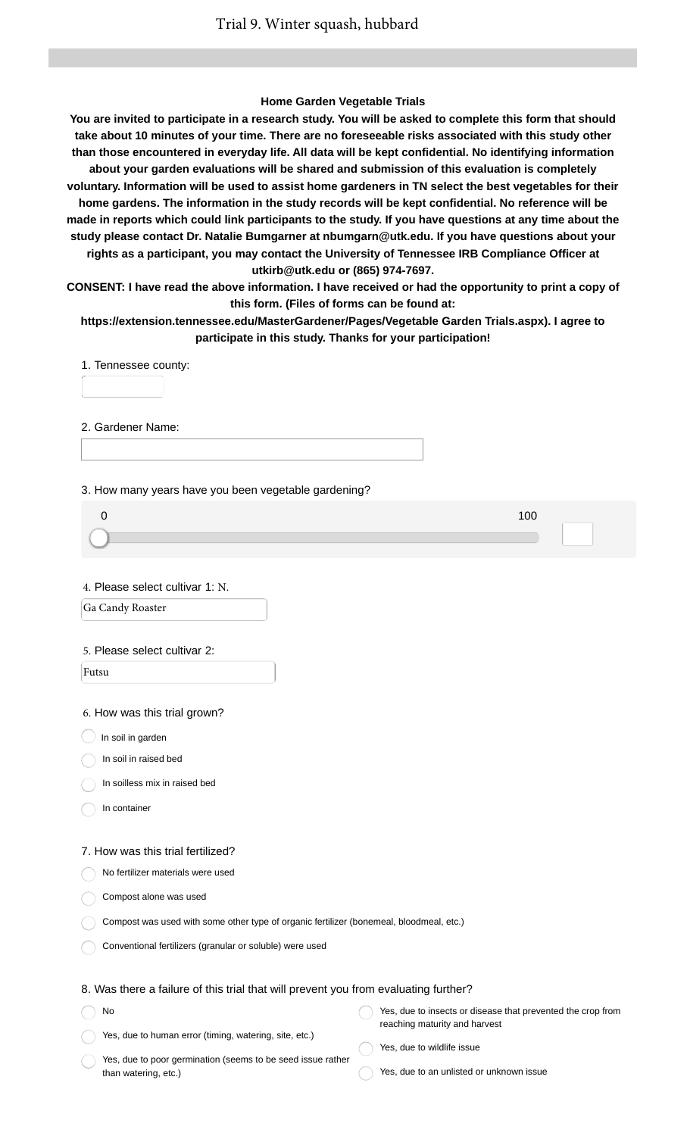### **Home Garden Vegetable Trials**

**You are invited to participate in a research study. You will be asked to complete this form that should take about 10 minutes of your time. There are no foreseeable risks associated with this study other than those encountered in everyday life. All data will be kept confidential. No identifying information about your garden evaluations will be shared and submission of this evaluation is completely voluntary. Information will be used to assist home gardeners in TN select the best vegetables for their home gardens. The information in the study records will be kept confidential. No reference will be made in reports which could link participants to the study. If you have questions at any time about the study please contact Dr. Natalie Bumgarner at nbumgarn@utk.edu. If you have questions about your rights as a participant, you may contact the University of Tennessee IRB Compliance Officer at utkirb@utk.edu or (865) 974-7697. CONSENT: I have read the above information. I have received or had the opportunity to print a copy of**

**this form. (Files of forms can be found at:**

**https://extension.tennessee.edu/MasterGardener/Pages/Vegetable Garden Trials.aspx). I agree to participate in this study. Thanks for your participation!**

1. Tennessee county:

2. Gardener Name:

3. How many years have you been vegetable gardening?

| 100 |  |
|-----|--|
|     |  |
|     |  |

4. Please select cultivar 1: N.

Ga Candy Roaster

#### 5. Please select cultivar 2:

Futsu

6. How was this trial grown?

 $\bigcirc$  In soil in garden

In soil in raised bed

In soilless mix in raised bed

In container

No

#### 7. How was this trial fertilized?

No fertilizer materials were used

- Compost alone was used
- Compost was used with some other type of organic fertilizer (bonemeal, bloodmeal, etc.)
- Conventional fertilizers (granular or soluble) were used

### 8. Was there a failure of this trial that will prevent you from evaluating further?

| <b>No</b>                                              | Yes, due to insects or disease that prevented the crop from |
|--------------------------------------------------------|-------------------------------------------------------------|
|                                                        | reaching maturity and harvest                               |
| Yes, due to human error (timing, watering, site, etc.) |                                                             |

- Yes, due to poor germination (seems to be seed issue rather than watering, etc.)
- Yes, due to wildlife issue
- Yes, due to an unlisted or unknown issue